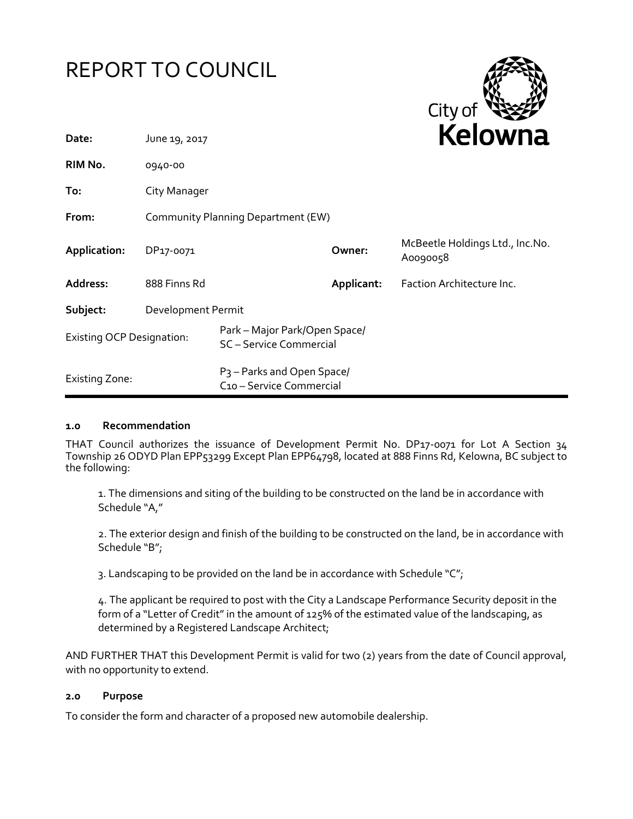



| Date:                            | June 19, 2017                      |                                                                    |            | <b>NEIUWII</b> d                            |
|----------------------------------|------------------------------------|--------------------------------------------------------------------|------------|---------------------------------------------|
| RIM No.                          | 0940-00                            |                                                                    |            |                                             |
| To:                              | City Manager                       |                                                                    |            |                                             |
| From:                            | Community Planning Department (EW) |                                                                    |            |                                             |
| Application:                     | DP17-0071                          |                                                                    | Owner:     | McBeetle Holdings Ltd., Inc.No.<br>A0090058 |
| Address:                         | 888 Finns Rd                       |                                                                    | Applicant: | Faction Architecture Inc.                   |
| Subject:                         | Development Permit                 |                                                                    |            |                                             |
| <b>Existing OCP Designation:</b> |                                    | Park - Major Park/Open Space/<br>SC-Service Commercial             |            |                                             |
| <b>Existing Zone:</b>            |                                    | P <sub>3</sub> – Parks and Open Space/<br>C10 - Service Commercial |            |                                             |

#### **1.0 Recommendation**

THAT Council authorizes the issuance of Development Permit No. DP17-0071 for Lot A Section 34 Township 26 ODYD Plan EPP53299 Except Plan EPP64798, located at 888 Finns Rd, Kelowna, BC subject to the following:

1. The dimensions and siting of the building to be constructed on the land be in accordance with Schedule "A,"

2. The exterior design and finish of the building to be constructed on the land, be in accordance with Schedule "B";

3. Landscaping to be provided on the land be in accordance with Schedule "C";

4. The applicant be required to post with the City a Landscape Performance Security deposit in the form of a "Letter of Credit" in the amount of 125% of the estimated value of the landscaping, as determined by a Registered Landscape Architect;

AND FURTHER THAT this Development Permit is valid for two (2) years from the date of Council approval, with no opportunity to extend.

#### **2.0 Purpose**

To consider the form and character of a proposed new automobile dealership.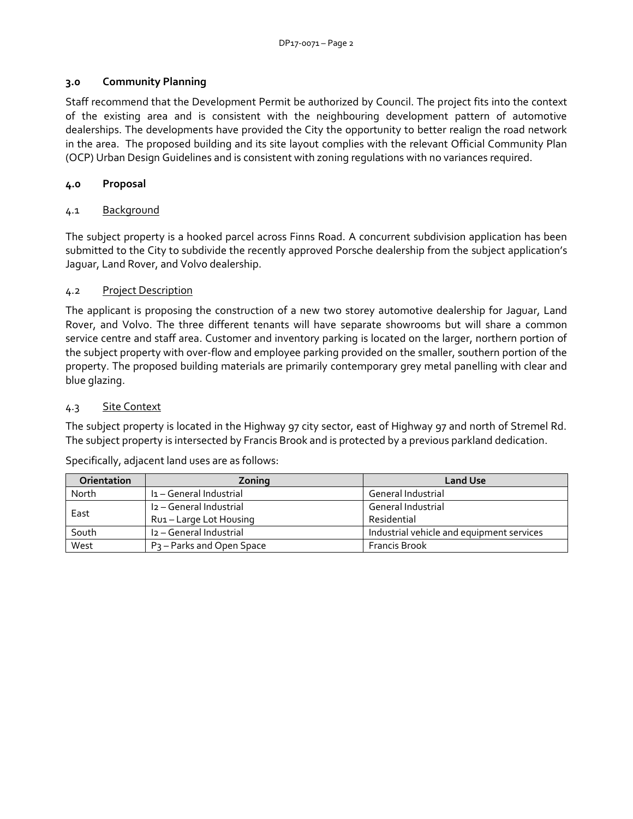## **3.0 Community Planning**

Staff recommend that the Development Permit be authorized by Council. The project fits into the context of the existing area and is consistent with the neighbouring development pattern of automotive dealerships. The developments have provided the City the opportunity to better realign the road network in the area. The proposed building and its site layout complies with the relevant Official Community Plan (OCP) Urban Design Guidelines and is consistent with zoning regulations with no variances required.

## **4.0 Proposal**

## 4.1 Background

The subject property is a hooked parcel across Finns Road. A concurrent subdivision application has been submitted to the City to subdivide the recently approved Porsche dealership from the subject application's Jaguar, Land Rover, and Volvo dealership.

### 4.2 Project Description

The applicant is proposing the construction of a new two storey automotive dealership for Jaguar, Land Rover, and Volvo. The three different tenants will have separate showrooms but will share a common service centre and staff area. Customer and inventory parking is located on the larger, northern portion of the subject property with over-flow and employee parking provided on the smaller, southern portion of the property. The proposed building materials are primarily contemporary grey metal panelling with clear and blue glazing.

## 4.3 Site Context

The subject property is located in the Highway 97 city sector, east of Highway 97 and north of Stremel Rd. The subject property is intersected by Francis Brook and is protected by a previous parkland dedication.

| <b>Orientation</b> | Zoning                                | <b>Land Use</b>                           |
|--------------------|---------------------------------------|-------------------------------------------|
| North              | I <sub>1</sub> - General Industrial   | General Industrial                        |
| East               | I <sub>2</sub> - General Industrial   | General Industrial                        |
|                    | Rui – Large Lot Housing               | Residential                               |
| South              | I2 - General Industrial               | Industrial vehicle and equipment services |
| West               | P <sub>3</sub> – Parks and Open Space | <b>Francis Brook</b>                      |

Specifically, adjacent land uses are as follows: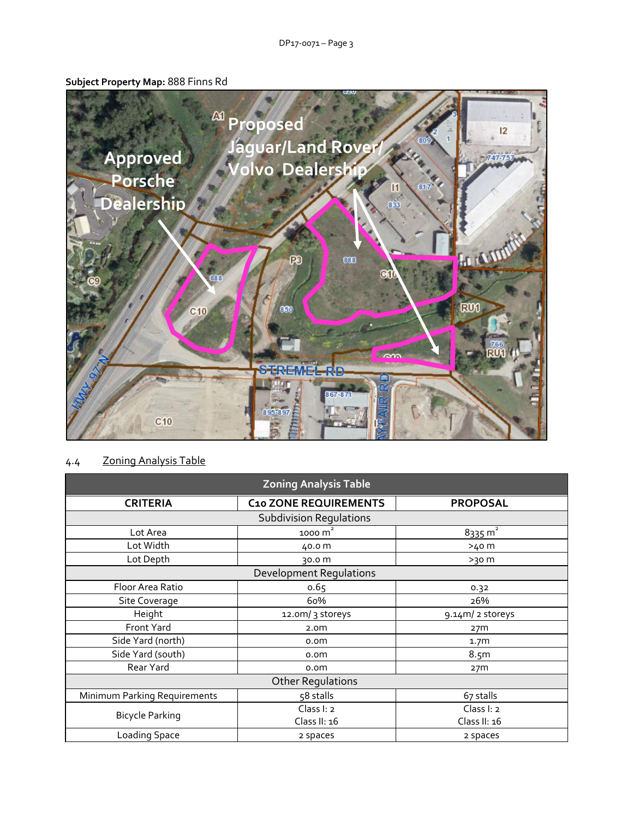# **Subject Property Map:** 888 Finns Rd



## 4.4 Zoning Analysis Table

| <b>Zoning Analysis Table</b>   |                              |                    |  |  |  |
|--------------------------------|------------------------------|--------------------|--|--|--|
| <b>CRITERIA</b>                | <b>C10 ZONE REQUIREMENTS</b> | <b>PROPOSAL</b>    |  |  |  |
| <b>Subdivision Regulations</b> |                              |                    |  |  |  |
| Lot Area                       | 1000 $m2$                    | $8335 \text{ m}^2$ |  |  |  |
| Lot Width                      | 40.0 m                       | >40 m              |  |  |  |
| Lot Depth                      | 30.0 m                       | $>30$ m            |  |  |  |
| <b>Development Regulations</b> |                              |                    |  |  |  |
| Floor Area Ratio               | 0.65                         | 0.32               |  |  |  |
| Site Coverage                  | 60%                          | 26%                |  |  |  |
| Height                         | 12.0m/ 3 storeys             | 9.14m/ 2 storeys   |  |  |  |
| Front Yard                     | 2.0 <sub>m</sub>             | 27 <sub>m</sub>    |  |  |  |
| Side Yard (north)              | o.om                         | 1.7 <sub>m</sub>   |  |  |  |
| Side Yard (south)              | o.om                         | 8.5 <sub>m</sub>   |  |  |  |
| Rear Yard                      | o.om                         | 27 <sub>m</sub>    |  |  |  |
| <b>Other Regulations</b>       |                              |                    |  |  |  |
| Minimum Parking Requirements   | 58 stalls                    | 67 stalls          |  |  |  |
| <b>Bicycle Parking</b>         | Class I: 2                   | Class I: 2         |  |  |  |
|                                | Class II: 16                 | Class II: 16       |  |  |  |
| Loading Space                  | 2 spaces                     | 2 spaces           |  |  |  |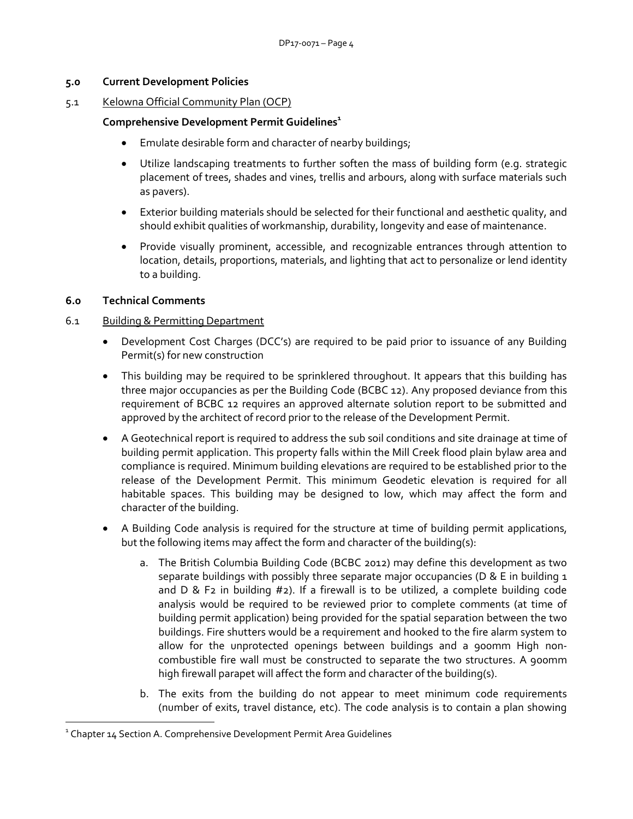#### **5.0 Current Development Policies**

#### 5.1 Kelowna Official Community Plan (OCP)

### **Comprehensive Development Permit Guidelines<sup>1</sup>**

- Emulate desirable form and character of nearby buildings;
- Utilize landscaping treatments to further soften the mass of building form (e.g. strategic placement of trees, shades and vines, trellis and arbours, along with surface materials such as pavers).
- Exterior building materials should be selected for their functional and aesthetic quality, and should exhibit qualities of workmanship, durability, longevity and ease of maintenance.
- Provide visually prominent, accessible, and recognizable entrances through attention to location, details, proportions, materials, and lighting that act to personalize or lend identity to a building.

### **6.0 Technical Comments**

1

### 6.1 Building & Permitting Department

- Development Cost Charges (DCC's) are required to be paid prior to issuance of any Building Permit(s) for new construction
- This building may be required to be sprinklered throughout. It appears that this building has three major occupancies as per the Building Code (BCBC 12). Any proposed deviance from this requirement of BCBC 12 requires an approved alternate solution report to be submitted and approved by the architect of record prior to the release of the Development Permit.
- A Geotechnical report is required to address the sub soil conditions and site drainage at time of building permit application. This property falls within the Mill Creek flood plain bylaw area and compliance is required. Minimum building elevations are required to be established prior to the release of the Development Permit. This minimum Geodetic elevation is required for all habitable spaces. This building may be designed to low, which may affect the form and character of the building.
- A Building Code analysis is required for the structure at time of building permit applications, but the following items may affect the form and character of the building(s):
	- a. The British Columbia Building Code (BCBC 2012) may define this development as two separate buildings with possibly three separate major occupancies ( $D \& E$  in building 1 and  $D \& F_2$  in building  $#_2$ ). If a firewall is to be utilized, a complete building code analysis would be required to be reviewed prior to complete comments (at time of building permit application) being provided for the spatial separation between the two buildings. Fire shutters would be a requirement and hooked to the fire alarm system to allow for the unprotected openings between buildings and a 900mm High noncombustible fire wall must be constructed to separate the two structures. A 900mm high firewall parapet will affect the form and character of the building(s).
	- b. The exits from the building do not appear to meet minimum code requirements (number of exits, travel distance, etc). The code analysis is to contain a plan showing

 $1$  Chapter 14 Section A. Comprehensive Development Permit Area Guidelines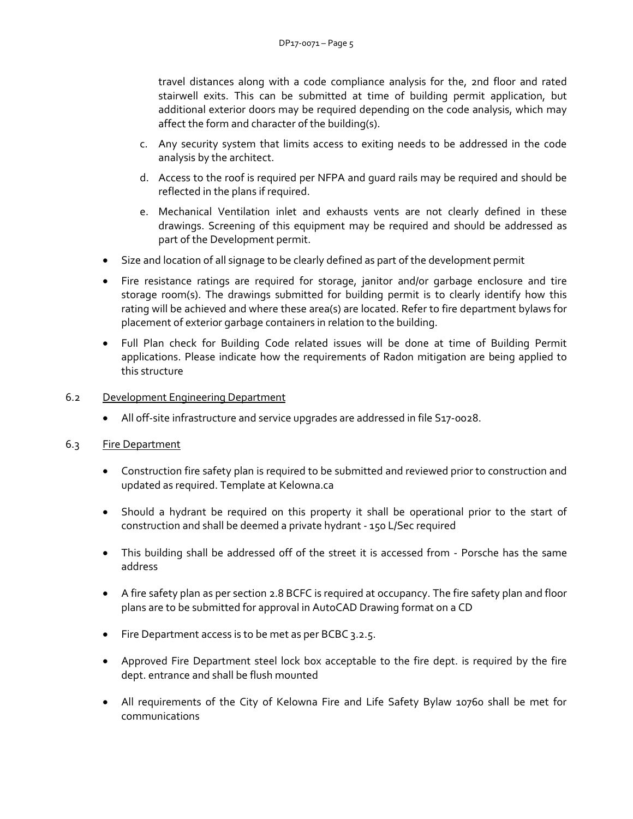travel distances along with a code compliance analysis for the, 2nd floor and rated stairwell exits. This can be submitted at time of building permit application, but additional exterior doors may be required depending on the code analysis, which may affect the form and character of the building(s).

- c. Any security system that limits access to exiting needs to be addressed in the code analysis by the architect.
- d. Access to the roof is required per NFPA and guard rails may be required and should be reflected in the plans if required.
- e. Mechanical Ventilation inlet and exhausts vents are not clearly defined in these drawings. Screening of this equipment may be required and should be addressed as part of the Development permit.
- Size and location of all signage to be clearly defined as part of the development permit
- Fire resistance ratings are required for storage, janitor and/or garbage enclosure and tire storage room(s). The drawings submitted for building permit is to clearly identify how this rating will be achieved and where these area(s) are located. Refer to fire department bylaws for placement of exterior garbage containers in relation to the building.
- Full Plan check for Building Code related issues will be done at time of Building Permit applications. Please indicate how the requirements of Radon mitigation are being applied to this structure
- 6.2 Development Engineering Department
	- All off-site infrastructure and service upgrades are addressed in file S17-0028.

## 6.3 Fire Department

- Construction fire safety plan is required to be submitted and reviewed prior to construction and updated as required. Template at Kelowna.ca
- Should a hydrant be required on this property it shall be operational prior to the start of construction and shall be deemed a private hydrant - 150 L/Sec required
- This building shall be addressed off of the street it is accessed from Porsche has the same address
- A fire safety plan as per section 2.8 BCFC is required at occupancy. The fire safety plan and floor plans are to be submitted for approval in AutoCAD Drawing format on a CD
- Fire Department access is to be met as per BCBC 3.2.5.
- Approved Fire Department steel lock box acceptable to the fire dept. is required by the fire dept. entrance and shall be flush mounted
- All requirements of the City of Kelowna Fire and Life Safety Bylaw 10760 shall be met for communications